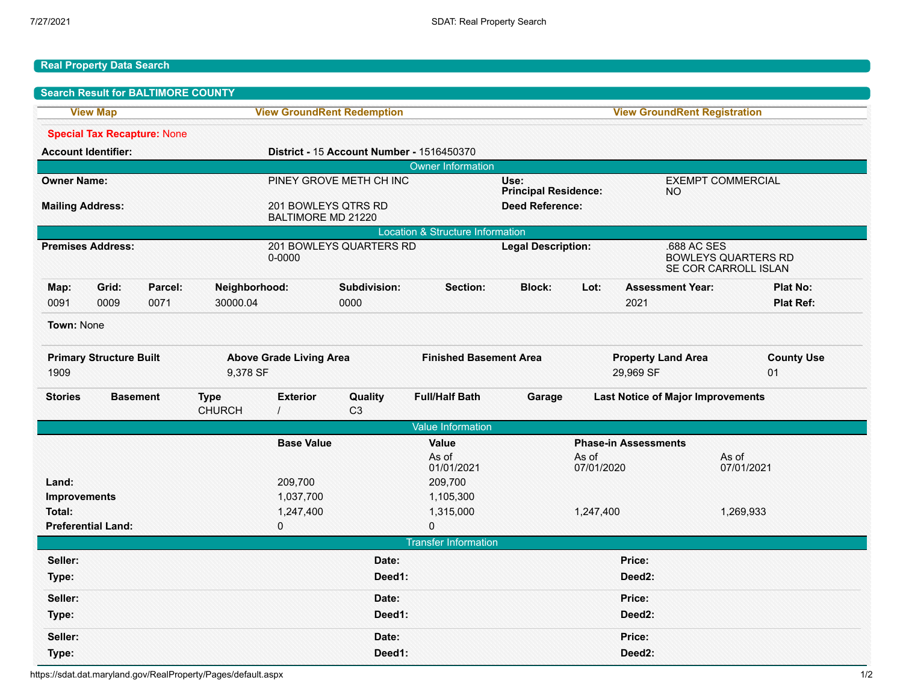## **Real Property Data Search**

|                                             |                           | <b>Search Result for BALTIMORE COUNTY</b>  |                                           |                                           |                               |                             |                                                  |                                          |                                                                   |                          |                                     |  |
|---------------------------------------------|---------------------------|--------------------------------------------|-------------------------------------------|-------------------------------------------|-------------------------------|-----------------------------|--------------------------------------------------|------------------------------------------|-------------------------------------------------------------------|--------------------------|-------------------------------------|--|
| <b>View Map</b>                             |                           |                                            | <b>View GroundRent Redemption</b>         |                                           |                               |                             | <b>View GroundRent Registration</b>              |                                          |                                                                   |                          |                                     |  |
|                                             |                           | <b>Special Tax Recapture: None</b>         |                                           |                                           |                               |                             |                                                  |                                          |                                                                   |                          |                                     |  |
| <b>Account Identifier:</b>                  |                           |                                            | District - 15 Account Number - 1516450370 |                                           |                               |                             |                                                  |                                          |                                                                   |                          |                                     |  |
| <b>Owner Information</b>                    |                           |                                            |                                           |                                           |                               |                             |                                                  |                                          |                                                                   |                          |                                     |  |
| <b>Owner Name:</b>                          |                           |                                            |                                           |                                           | PINEY GROVE METH CH INC       |                             | Use:<br><b>Principal Residence:</b><br><b>NO</b> |                                          |                                                                   | <b>EXEMPT COMMERCIAL</b> |                                     |  |
| <b>Mailing Address:</b>                     |                           |                                            |                                           | 201 BOWLEYS QTRS RD<br>BALTIMORE MD 21220 |                               |                             | <b>Deed Reference:</b>                           |                                          |                                                                   |                          |                                     |  |
| <b>Location &amp; Structure Information</b> |                           |                                            |                                           |                                           |                               |                             |                                                  |                                          |                                                                   |                          |                                     |  |
| <b>Premises Address:</b>                    |                           |                                            | 201 BOWLEYS QUARTERS RD<br>0-0000         |                                           |                               |                             | <b>Legal Description:</b>                        |                                          | .688 AC SES<br><b>BOWLEYS QUARTERS RD</b><br>SE COR CARROLL ISLAN |                          |                                     |  |
| Map:<br>0091                                | Grid:<br>0009             | Parcel:<br>0071                            | Neighborhood:<br>30000.04                 |                                           | Subdivision:<br>0000          | Section:                    | <b>Block:</b>                                    | Lot:                                     | <b>Assessment Year:</b><br>2021                                   |                          | <b>Plat No:</b><br><b>Plat Ref:</b> |  |
| Town: None                                  |                           |                                            |                                           |                                           |                               |                             |                                                  |                                          |                                                                   |                          |                                     |  |
| <b>Primary Structure Built</b><br>1909      |                           | <b>Above Grade Living Area</b><br>9,378 SF |                                           |                                           | <b>Finished Basement Area</b> |                             | <b>Property Land Area</b><br>29,969 SF           |                                          |                                                                   | <b>County Use</b><br>01  |                                     |  |
| <b>Stories</b>                              | <b>Basement</b>           |                                            | <b>Type</b><br><b>CHURCH</b>              | <b>Exterior</b>                           | Quality<br>C <sub>3</sub>     | <b>Full/Half Bath</b>       | Garage                                           | <b>Last Notice of Major Improvements</b> |                                                                   |                          |                                     |  |
|                                             |                           |                                            |                                           |                                           |                               | <b>Value Information</b>    |                                                  |                                          |                                                                   |                          |                                     |  |
|                                             |                           |                                            | <b>Base Value</b>                         |                                           | Value                         | <b>Phase-in Assessments</b> |                                                  |                                          |                                                                   |                          |                                     |  |
|                                             |                           |                                            |                                           |                                           |                               | As of<br>01/01/2021         |                                                  | As of<br>07/01/2020                      |                                                                   | As of<br>07/01/2021      |                                     |  |
| Land:                                       |                           |                                            |                                           | 209,700                                   |                               | 209,700                     |                                                  |                                          |                                                                   |                          |                                     |  |
| <b>Improvements</b>                         |                           |                                            |                                           | 1,037,700                                 |                               | 1,105,300                   |                                                  |                                          |                                                                   |                          |                                     |  |
| Total:                                      |                           |                                            | 1,247,400                                 |                                           |                               | 1,315,000                   |                                                  | 1,247,400                                |                                                                   | 1,269,933                |                                     |  |
|                                             | <b>Preferential Land:</b> |                                            |                                           | 0                                         |                               | 0                           |                                                  |                                          |                                                                   |                          |                                     |  |
|                                             |                           |                                            |                                           |                                           |                               | <b>Transfer Information</b> |                                                  |                                          |                                                                   |                          |                                     |  |
| Seller:                                     |                           |                                            |                                           |                                           | Date:                         |                             |                                                  |                                          | Price:                                                            |                          |                                     |  |
| Type:                                       |                           |                                            | Deed1:                                    |                                           |                               |                             | Deed <sub>2</sub> :                              |                                          |                                                                   |                          |                                     |  |
| Seller:                                     |                           |                                            |                                           |                                           | Date:                         |                             |                                                  |                                          | Price:                                                            |                          |                                     |  |
| Type:                                       |                           |                                            |                                           |                                           | Deed1:                        |                             |                                                  |                                          | Deed2:                                                            |                          |                                     |  |
| Seller:                                     |                           |                                            |                                           |                                           | Date:                         |                             |                                                  |                                          | Price:                                                            |                          |                                     |  |
| Type:                                       |                           |                                            |                                           |                                           | Deed1:                        |                             |                                                  |                                          | Deed <sub>2</sub> :                                               |                          |                                     |  |

https://sdat.dat.maryland.gov/RealProperty/Pages/default.aspx 1/2